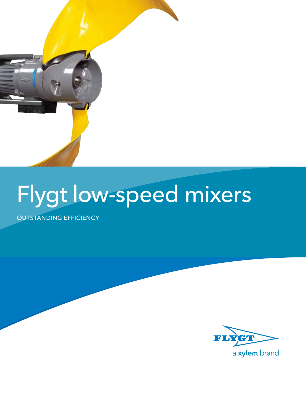

# Flygt low-speed mixers

outstanding efficiency

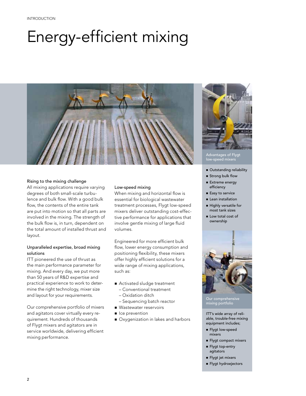## Energy-efficient mixing



#### Rising to the mixing challenge

All mixing applications require varying degrees of both small-scale turbulence and bulk flow. With a good bulk flow, the contents of the entire tank are put into motion so that all parts are involved in the mixing. The strength of the bulk flow is, in turn, dependent on the total amount of installed thrust and layout.

#### Unparalleled expertise, broad mixing solutions

ITT pioneered the use of thrust as the main performance parameter for mixing. And every day, we put more than 50 years of R&D expertise and practical experience to work to determine the right technology, mixer size and layout for your requirements.

Our comprehensive portfolio of mixers and agitators cover virtually every requirement. Hundreds of thousands of Flygt mixers and agitators are in service worldwide, delivering efficient mixing performance.

#### Low-speed mixing

When mixing and horizontal flow is essential for biological wastewater treatment processes, Flygt low-speed mixers deliver outstanding cost-effective performance for applications that involve gentle mixing of large fluid volumes.

Engineered for more efficient bulk flow, lower energy consumption and positioning flexibility, these mixers offer highly efficient solutions for a wide range of mixing applications, such as:

- Activated sludge treatment
	- Conventional treatment
	- Oxidation ditch
	- Sequencing batch reactor
- **Nastewater reservoirs**
- **n** Ice prevention
- Oxygenization in lakes and harbors



Advantages of Flygt low-speed mixers

- **n** Outstanding reliability
- **s** Strong bulk flow
- Extreme energy efficiency
- Easy to service
- **E** Lean installation
- Highly versatile for most tank sizes
- Low total cost of ownership



Our comprehensive mixing portfolio

ITT's wide array of reliable, trouble-free mixing equipment includes;

- **n** Flygt low-speed mixers
- **Flygt compact mixers**
- Flygt top-entry agitators
- n Flygt jet mixers
- n Flygt hydroejectors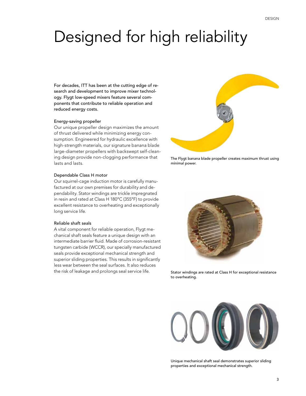### Designed for high reliability

For decades, ITT has been at the cutting edge of research and development to improve mixer technology. Flygt low-speed mixers feature several components that contribute to reliable operation and reduced energy costs.

#### Energy-saving propeller

Our unique propeller design maximizes the amount of thrust delivered while minimizing energy consumption. Engineered for hydraulic excellence with high-strength materials, our signature banana blade large-diameter propellers with backswept self-cleaning design provide non-clogging performance that lasts and lasts.

#### Dependable Class H motor

Our squirrel-cage induction motor is carefully manufactured at our own premises for durability and dependability. Stator windings are trickle impregnated in resin and rated at Class H 180°C (355°F) to provide excellent resistance to overheating and exceptionally long service life.

#### Reliable shaft seals

A vital component for reliable operation, Flygt mechanical shaft seals feature a unique design with an intermediate barrier fluid. Made of corrosion-resistant tungsten carbide (WCCR), our specially manufactured seals provide exceptional mechanical strength and superior sliding properties. This results in significantly less wear between the seal surfaces. It also reduces the risk of leakage and prolongs seal service life. Stator windings are rated at Class H for exceptional resistance



The Flygt banana blade propeller creates maximum thrust using minimal power.



to overheating.



Unique mechanical shaft seal demonstrates superior sliding properties and exceptional mechanical strength.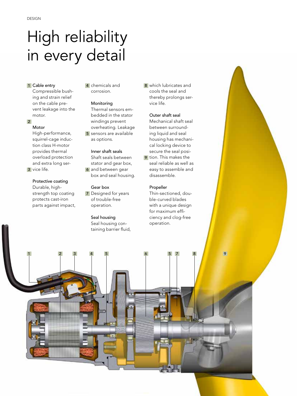### High reliability in every detail

#### 1 Cable entry

Compressible bushing and strain relief on the cable prevent leakage into the motor.

2

#### Motor

High-performance, squirrel-cage induction class H-motor provides thermal overload protection and extra long ser-3 vice life.

Protective coating Durable, highstrength top coating protects cast-iron parts against impact,

1 Cable entry **1** al chemicals and **1** 8 corrosion.

#### Monitoring

Thermal sensors embedded in the stator windings prevent overheating. Leakage 5 sensors are available as options.

#### Inner shaft seals

Shaft seals between stator and gear box, **6** and between gear box and seal housing.

#### Gear box

**7** Designed for years of trouble-free operation.

#### Seal housing

Seal housing containing barrier fluid,

1 2 3 4 5 6 5 7 8 9

8 which lubricates and cools the seal and thereby prolongs service life.

#### Outer shaft seal

Mechanical shaft seal between surrounding liquid and seal housing has mechanical locking device to secure the seal posi-

**9** tion. This makes the seal reliable as well as easy to assemble and disassemble.

#### Propeller

Thin-sectioned, double-curved blades with a unique design for maximum efficiency and clog-free operation.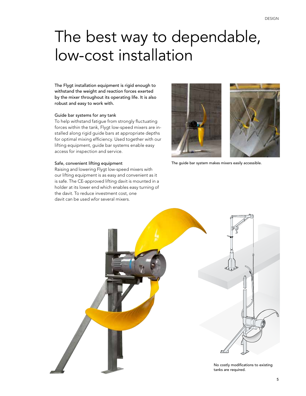### The best way to dependable, low-cost installation

The Flygt installation equipment is rigid enough to withstand the weight and reaction forces exerted by the mixer throughout its operating life. It is also robust and easy to work with.

#### Guide bar systems for any tank

To help withstand fatigue from strongly fluctuating forces within the tank, Flygt low-speed mixers are installed along rigid guide bars at appropriate depths for optimal mixing efficiency. Used together with our lifting equipment, guide bar systems enable easy access for inspection and service.

#### Safe, convenient lifting equipment

Raising and lowering Flygt low-speed mixers with our lifting equipment is as easy and convenient as it is safe. The CE-approved lifting davit is mounted in a holder at its lower end which enables easy turning of the davit. To reduce investment cost, one davit can be used wfor several mixers.



The guide bar system makes mixers easily accessible.

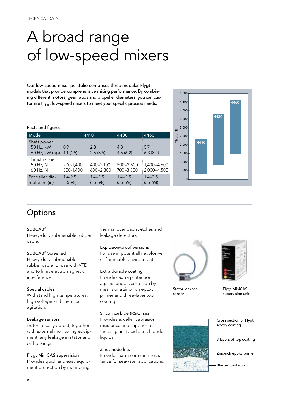### A broad range of low-speed mixers

Our low-speed mixer portfolio comprises three modular Flygt models that provide comprehensive mixing performance. By combining different motors, gear ratios and propeller diameters, you can customize Flygt low-speed mixers to meet your specific process needs.

|            | 5,000          |  |      |      |      |  |
|------------|----------------|--|------|------|------|--|
| Thrust [N] | 4,500          |  |      |      | 4460 |  |
|            | 4,000          |  |      |      |      |  |
|            | 3,500          |  |      | 4430 |      |  |
|            | 3,000          |  | 4410 |      |      |  |
|            | 2,500          |  |      |      |      |  |
|            | 2,000          |  |      |      |      |  |
|            | 1,500          |  |      |      |      |  |
|            | 1,000          |  |      |      |      |  |
|            | 500            |  |      |      |      |  |
|            | $\overline{0}$ |  |      |      |      |  |

#### Facts and figures

| Model                                                      | 4410                     |                                | 4430                                      | 4460                                          |
|------------------------------------------------------------|--------------------------|--------------------------------|-------------------------------------------|-----------------------------------------------|
| Shaft power<br>$\cdot$ 50 Hz, kW<br>$\cdot$ 60 Hz, kW (hp) | 0.9<br>$\pm 1.1(1.5)$    | 2.3<br>2.6(3.5)                | 4.3<br>4.6(6.2)                           | 5.7<br>6.3(8.4)                               |
| Thrust range<br>$\cdot$ 50 Hz, N<br>$\cdot$ 60 Hz, N       | $200-1,400$<br>300-1,400 | $400 - 2,100$<br>$600 - 2,300$ | $\frac{1}{2}$ 500-3,600<br>$1700 - 3,800$ | $\frac{1}{2}1,400 - 4,600$<br>$2,000 - 4,500$ |
| Propeller dia-<br>meter, m (in)                            | $1.4 - 2.5$<br>$(55-98)$ | $1.4 - 2.5$<br>$(55 - 98)$     | $1.4 - 2.5$<br>$(55 - 98)$                | $1.4 - 2.5$<br>$(55 - 98)$                    |



#### SUBCAB®

Heavy-duty submersible rubber cable.

#### SUBCAB® Screened

Heavy-duty submersible rubber cable for use with VFD and to limit electromagnetic interference.

#### Special cables

Withstand high temperatures, high voltage and chemical agitation.

#### Leakage sensors

Automatically detect, together with external monitoring equipment, any leakage in stator and oil housings.

#### Flygt MiniCAS supervision

Provides quick and easy equipment protection by monitoring

thermal overload switches and leakage detectors.

#### Explosion-proof versions

For use in potentially explosive or flammable environments.

#### Extra durable coating

Provides extra protection against anodic corrosion by means of a zinc-rich epoxy primer and three-layer top coating.

#### Silicon carbide (RSiC) seal

Provides excellent abrasion resistance and superior resistance against acid and chloride liquids.

#### Zinc anode kits

Provides extra corrosion-resistance for seawater applications.



Stator leakage sensor



Flygt MiniCAS supervision unit



Cross section of Flygt epoxy coating

3 layers of top coating

Zinc-rich epoxy primer

Blasted cast iron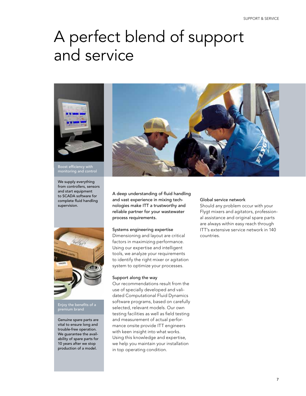### A perfect blend of support and service



Boost efficiency with monitoring and control

We supply everything from controllers, sensors and start equipment to SCADA software for complete fluid handling supervision.



Enjoy the benefits of a premium brand

Genuine spare parts are vital to ensure long and trouble-free operation. We guarantee the availability of spare parts for 10 years after we stop production of a model.



A deep understanding of fluid handling and vast experience in mixing technologies make ITT a trustworthy and reliable partner for your wastewater process requirements.

#### Systems engineering expertise

Dimensioning and layout are critical factors in maximizing performance. Using our expertise and intelligent tools, we analyze your requirements to identify the right mixer or agitation system to optimize your processes.

#### Support along the way

Our recommendations result from the use of specially developed and validated Computational Fluid Dynamics software programs, based on carefully selected, relevant models. Our own testing facilities as well as field testing and measurement of actual performance onsite provide ITT engineers with keen insight into what works. Using this knowledge and expertise, we help you maintain your installation in top operating condition.

#### Global service network

Should any problem occur with your Flygt mixers and agitators, professional assistance and original spare parts are always within easy reach through ITT's extensive service network in 140 countries.